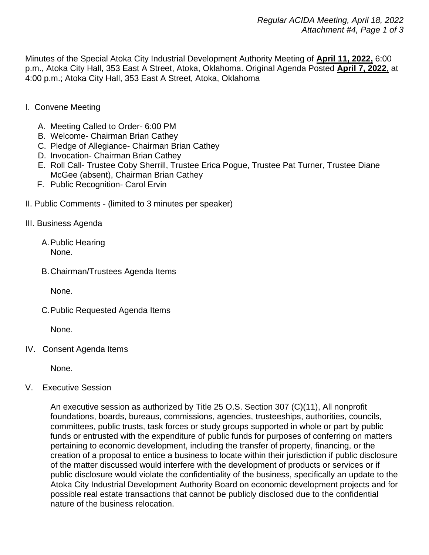Minutes of the Special Atoka City Industrial Development Authority Meeting of **April 11, 2022,** 6:00 p.m., Atoka City Hall, 353 East A Street, Atoka, Oklahoma. Original Agenda Posted **April 7, 2022**, at 4:00 p.m.; Atoka City Hall, 353 East A Street, Atoka, Oklahoma

- I. Convene Meeting
	- A. Meeting Called to Order- 6:00 PM
	- B. Welcome- Chairman Brian Cathey
	- C. Pledge of Allegiance- Chairman Brian Cathey
	- D. Invocation- Chairman Brian Cathey
	- E. Roll Call- Trustee Coby Sherrill, Trustee Erica Pogue, Trustee Pat Turner, Trustee Diane McGee (absent), Chairman Brian Cathey
	- F. Public Recognition- Carol Ervin
- II. Public Comments (limited to 3 minutes per speaker)
- III. Business Agenda
	- A.Public Hearing None.
	- B.Chairman/Trustees Agenda Items

None.

C.Public Requested Agenda Items

None.

IV. Consent Agenda Items

None.

V. Executive Session

An executive session as authorized by Title 25 O.S. Section 307 (C)(11), All nonprofit foundations, boards, bureaus, commissions, agencies, trusteeships, authorities, councils, committees, public trusts, task forces or study groups supported in whole or part by public funds or entrusted with the expenditure of public funds for purposes of conferring on matters pertaining to economic development, including the transfer of property, financing, or the creation of a proposal to entice a business to locate within their jurisdiction if public disclosure of the matter discussed would interfere with the development of products or services or if public disclosure would violate the confidentiality of the business, specifically an update to the Atoka City Industrial Development Authority Board on economic development projects and for possible real estate transactions that cannot be publicly disclosed due to the confidential nature of the business relocation.